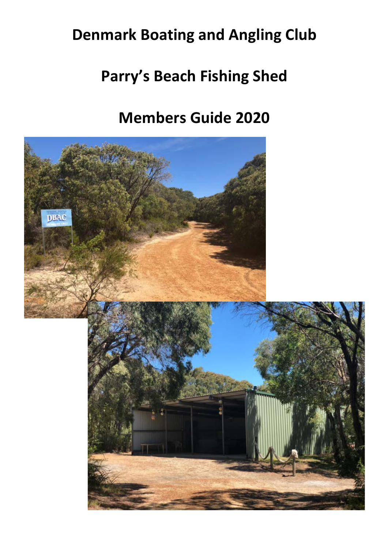# **Denmark Boating and Angling Club**

# **Parry's Beach Fishing Shed**

# **Members Guide 2020**

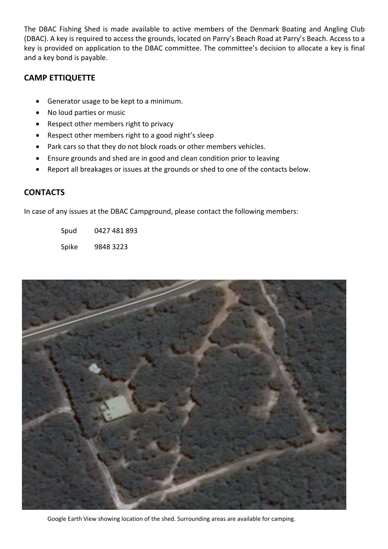The DBAC Fishing Shed is made available to active members of the Denmark Boating and Angling Club (DBAC). A key is required to access the grounds, located on Parry's Beach Road at Parry's Beach. Access to a key is provided on application to the DBAC committee. The committee's decision to allocate a key is final and a key bond is payable.

### **CAMP ETTIQUETTE**

- Generator usage to be kept to a minimum.
- No loud parties or music
- Respect other members right to privacy
- Respect other members right to a good night's sleep
- Park cars so that they do not block roads or other members vehicles.
- Ensure grounds and shed are in good and clean condition prior to leaving
- Report all breakages or issues at the grounds or shed to one of the contacts below.

#### **CONTACTS**

In case of any issues at the DBAC Campground, please contact the following members:

Spud 0427 481 893

Spike 9848 3223



Google Earth View showing location of the shed. Surrounding areas are available for camping.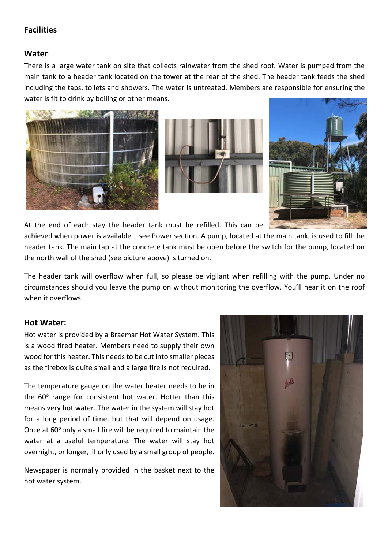### **Facilities**

#### **Water**:

There is a large water tank on site that collects rainwater from the shed roof. Water is pumped from the main tank to a header tank located on the tower at the rear of the shed. The header tank feeds the shed including the taps, toilets and showers. The water is untreated. Members are responsible for ensuring the water is fit to drink by boiling or other means.







At the end of each stay the header tank must be refilled. This can be

achieved when power is available – see Power section. A pump, located at the main tank, is used to fill the header tank. The main tap at the concrete tank must be open before the switch for the pump, located on the north wall of the shed (see picture above) is turned on.

The header tank will overflow when full, so please be vigilant when refilling with the pump. Under no circumstances should you leave the pump on without monitoring the overflow. You'll hear it on the roof when it overflows.

#### **Hot Water:**

Hot water is provided by a Braemar Hot Water System. This is a wood fired heater. Members need to supply their own wood for this heater. This needs to be cut into smaller pieces as the firebox is quite small and a large fire is not required.

The temperature gauge on the water heater needs to be in the  $60^\circ$  range for consistent hot water. Hotter than this means very hot water. The water in the system will stay hot for a long period of time, but that will depend on usage. Once at  $60^{\circ}$  only a small fire will be required to maintain the water at a useful temperature. The water will stay hot overnight, or longer, if only used by a small group of people.

Newspaper is normally provided in the basket next to the hot water system.

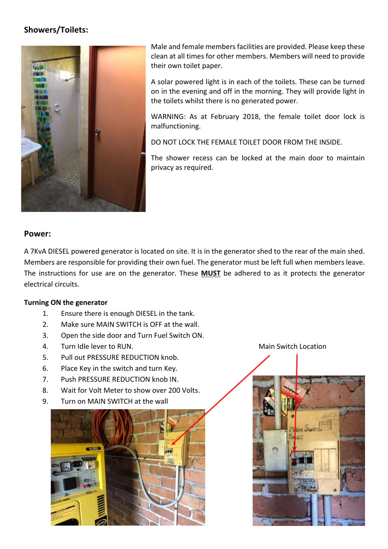# **Showers/Toilets:**



Male and female members facilities are provided. Please keep these clean at all times for other members. Members will need to provide their own toilet paper.

A solar powered light is in each of the toilets. These can be turned on in the evening and off in the morning. They will provide light in the toilets whilst there is no generated power.

WARNING: As at February 2018, the female toilet door lock is malfunctioning.

DO NOT LOCK THE FEMALE TOILET DOOR FROM THE INSIDE.

The shower recess can be locked at the main door to maintain privacy as required.

#### **Power:**

A 7KvA DIESEL powered generator is located on site. It is in the generator shed to the rear of the main shed. Members are responsible for providing their own fuel. The generator must be left full when members leave. The instructions for use are on the generator. These **MUST** be adhered to as it protects the generator electrical circuits.

#### **Turning ON the generator**

- 1. Ensure there is enough DIESEL in the tank.
- 2. Make sure MAIN SWITCH is OFF at the wall.
- 3. Open the side door and Turn Fuel Switch ON.
- 4. Turn Idle lever to RUN. The contraction of the Main Switch Location of the Main Switch Location
- 5. Pull out PRESSURE REDUCTION knob.
- 6. Place Key in the switch and turn Key.
- 7. Push PRESSURE REDUCTION knob IN.
- 8. Wait for Volt Meter to show over 200 Volts.
- 9. Turn on MAIN SWITCH at the wall



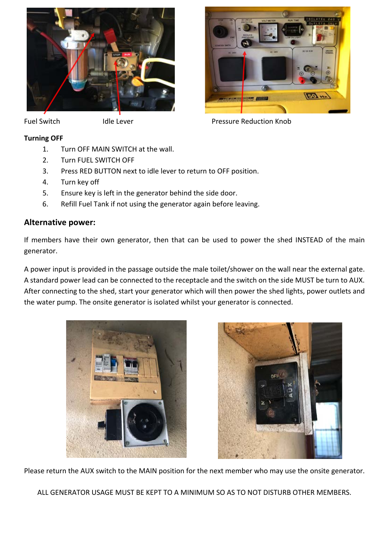

#### Fuel Switch **Idle Lever Idle Lever Pressure Reduction Knob**

### **Turning OFF**

- 1. Turn OFF MAIN SWITCH at the wall.
- 2. Turn FUEL SWITCH OFF
- 3. Press RED BUTTON next to idle lever to return to OFF position.
- 4. Turn key off
- 5. Ensure key is left in the generator behind the side door.
- 6. Refill Fuel Tank if not using the generator again before leaving.

#### **Alternative power:**

If members have their own generator, then that can be used to power the shed INSTEAD of the main generator.

A power input is provided in the passage outside the male toilet/shower on the wall near the external gate. A standard power lead can be connected to the receptacle and the switch on the side MUST be turn to AUX. After connecting to the shed, start your generator which will then power the shed lights, power outlets and the water pump. The onsite generator is isolated whilst your generator is connected.





Please return the AUX switch to the MAIN position for the next member who may use the onsite generator.

ALL GENERATOR USAGE MUST BE KEPT TO A MINIMUM SO AS TO NOT DISTURB OTHER MEMBERS.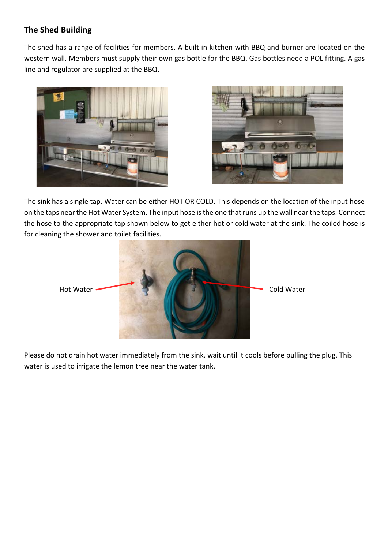# **The Shed Building**

The shed has a range of facilities for members. A built in kitchen with BBQ and burner are located on the western wall. Members must supply their own gas bottle for the BBQ. Gas bottles need a POL fitting. A gas line and regulator are supplied at the BBQ.





The sink has a single tap. Water can be either HOT OR COLD. This depends on the location of the input hose on the taps near the Hot Water System. The input hose is the one that runs up the wall near the taps. Connect the hose to the appropriate tap shown below to get either hot or cold water at the sink. The coiled hose is for cleaning the shower and toilet facilities.



Please do not drain hot water immediately from the sink, wait until it cools before pulling the plug. This water is used to irrigate the lemon tree near the water tank.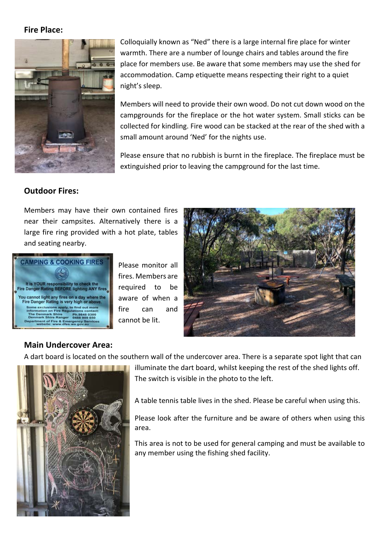#### **Fire Place:**



Colloquially known as "Ned" there is a large internal fire place for winter warmth. There are a number of lounge chairs and tables around the fire place for members use. Be aware that some members may use the shed for accommodation. Camp etiquette means respecting their right to a quiet night's sleep.

Members will need to provide their own wood. Do not cut down wood on the campgrounds for the fireplace or the hot water system. Small sticks can be collected for kindling. Fire wood can be stacked at the rear of the shed with a small amount around 'Ned' for the nights use.

Please ensure that no rubbish is burnt in the fireplace. The fireplace must be extinguished prior to leaving the campground for the last time.

#### **Outdoor Fires:**

Members may have their own contained fires near their campsites. Alternatively there is a large fire ring provided with a hot plate, tables and seating nearby.



Please monitor all fires. Members are required to be aware of when a fire can and cannot be lit.



#### **Main Undercover Area:**

A dart board is located on the southern wall of the undercover area. There is a separate spot light that can



illuminate the dart board, whilst keeping the rest of the shed lights off. The switch is visible in the photo to the left.

A table tennis table lives in the shed. Please be careful when using this.

Please look after the furniture and be aware of others when using this area.

This area is not to be used for general camping and must be available to any member using the fishing shed facility.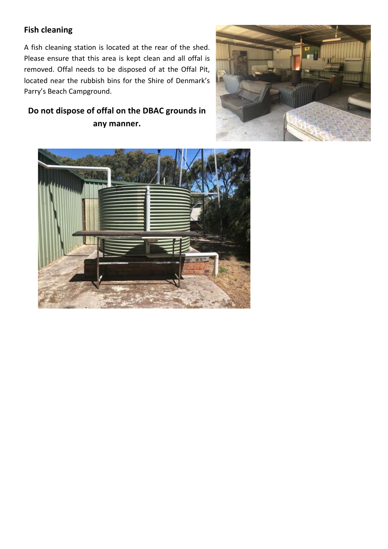# **Fish cleaning**

A fish cleaning station is located at the rear of the shed. Please ensure that this area is kept clean and all offal is removed. Offal needs to be disposed of at the Offal Pit, located near the rubbish bins for the Shire of Denmark's Parry's Beach Campground.

# **Do not dispose of offal on the DBAC grounds in any manner.**